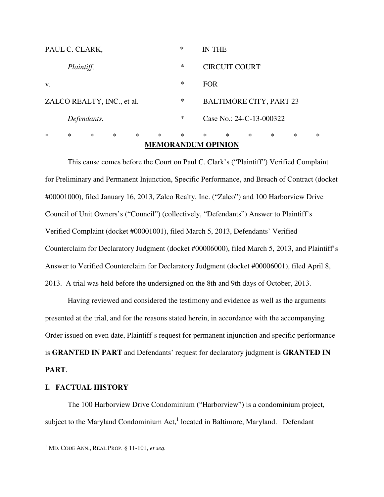|                                      |        |        |     |     | MEMOD ANDHM ODINION |        |                                |        |        |   |   |   |
|--------------------------------------|--------|--------|-----|-----|---------------------|--------|--------------------------------|--------|--------|---|---|---|
| $\ast$                               | $\ast$ | $\ast$ | $*$ | $*$ | $\ast$              | $\ast$ | $\ast$                         | $\ast$ | $\ast$ | ∗ | ∗ | ∗ |
| $\ast$<br>Defendants.                |        |        |     |     |                     |        | Case No.: 24-C-13-000322       |        |        |   |   |   |
| $\ast$<br>ZALCO REALTY, INC., et al. |        |        |     |     |                     |        | <b>BALTIMORE CITY, PART 23</b> |        |        |   |   |   |
| V.                                   |        |        |     |     |                     | $\ast$ | <b>FOR</b>                     |        |        |   |   |   |
| Plaintiff,                           |        |        |     |     |                     | $\ast$ | <b>CIRCUIT COURT</b>           |        |        |   |   |   |
| PAUL C. CLARK,                       |        |        |     |     |                     | $\ast$ | IN THE                         |        |        |   |   |   |

# **MEMORANDUM OPINION**

This cause comes before the Court on Paul C. Clark's ("Plaintiff") Verified Complaint for Preliminary and Permanent Injunction, Specific Performance, and Breach of Contract (docket #00001000), filed January 16, 2013, Zalco Realty, Inc. ("Zalco") and 100 Harborview Drive Council of Unit Owners's ("Council") (collectively, "Defendants") Answer to Plaintiff's Verified Complaint (docket #00001001), filed March 5, 2013, Defendants' Verified Counterclaim for Declaratory Judgment (docket #00006000), filed March 5, 2013, and Plaintiff's Answer to Verified Counterclaim for Declaratory Judgment (docket #00006001), filed April 8, 2013. A trial was held before the undersigned on the 8th and 9th days of October, 2013.

Having reviewed and considered the testimony and evidence as well as the arguments presented at the trial, and for the reasons stated herein, in accordance with the accompanying Order issued on even date, Plaintiff's request for permanent injunction and specific performance is **GRANTED IN PART** and Defendants' request for declaratory judgment is **GRANTED IN PART**.

## **I. FACTUAL HISTORY**

l

 The 100 Harborview Drive Condominium ("Harborview") is a condominium project, subject to the Maryland Condominium Act, $<sup>1</sup>$  located in Baltimore, Maryland. Defendant</sup>

<sup>1</sup> MD. CODE ANN., REAL PROP. § 11-101, *et seq.*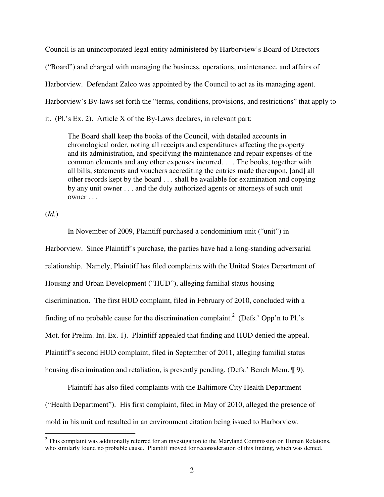Council is an unincorporated legal entity administered by Harborview's Board of Directors ("Board") and charged with managing the business, operations, maintenance, and affairs of Harborview. Defendant Zalco was appointed by the Council to act as its managing agent. Harborview's By-laws set forth the "terms, conditions, provisions, and restrictions" that apply to it. (Pl.'s Ex. 2). Article X of the By-Laws declares, in relevant part:

The Board shall keep the books of the Council, with detailed accounts in chronological order, noting all receipts and expenditures affecting the property and its administration, and specifying the maintenance and repair expenses of the common elements and any other expenses incurred. . . . The books, together with all bills, statements and vouchers accrediting the entries made thereupon, [and] all other records kept by the board . . . shall be available for examination and copying by any unit owner . . . and the duly authorized agents or attorneys of such unit owner . . .

(*Id.*)

 In November of 2009, Plaintiff purchased a condominium unit ("unit") in Harborview. Since Plaintiff's purchase, the parties have had a long-standing adversarial relationship. Namely, Plaintiff has filed complaints with the United States Department of Housing and Urban Development ("HUD"), alleging familial status housing discrimination. The first HUD complaint, filed in February of 2010, concluded with a finding of no probable cause for the discrimination complaint.<sup>2</sup> (Defs.' Opp'n to Pl.'s Mot. for Prelim. Inj. Ex. 1). Plaintiff appealed that finding and HUD denied the appeal. Plaintiff's second HUD complaint, filed in September of 2011, alleging familial status housing discrimination and retaliation, is presently pending. (Defs.' Bench Mem. ¶ 9).

 Plaintiff has also filed complaints with the Baltimore City Health Department ("Health Department"). His first complaint, filed in May of 2010, alleged the presence of mold in his unit and resulted in an environment citation being issued to Harborview.

<sup>&</sup>lt;sup>2</sup> This complaint was additionally referred for an investigation to the Maryland Commission on Human Relations, who similarly found no probable cause. Plaintiff moved for reconsideration of this finding, which was denied.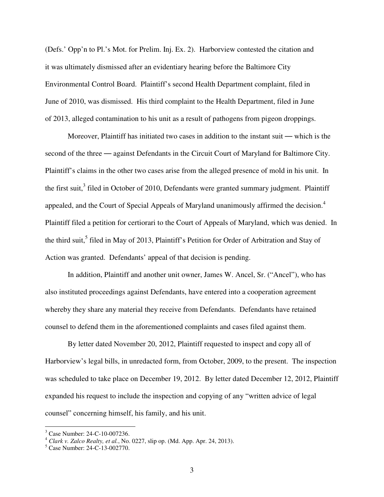(Defs.' Opp'n to Pl.'s Mot. for Prelim. Inj. Ex. 2). Harborview contested the citation and it was ultimately dismissed after an evidentiary hearing before the Baltimore City Environmental Control Board. Plaintiff's second Health Department complaint, filed in June of 2010, was dismissed. His third complaint to the Health Department, filed in June of 2013, alleged contamination to his unit as a result of pathogens from pigeon droppings.

Moreover, Plaintiff has initiated two cases in addition to the instant suit — which is the second of the three — against Defendants in the Circuit Court of Maryland for Baltimore City. Plaintiff's claims in the other two cases arise from the alleged presence of mold in his unit. In the first suit, $3$  filed in October of 2010, Defendants were granted summary judgment. Plaintiff appealed, and the Court of Special Appeals of Maryland unanimously affirmed the decision.<sup>4</sup> Plaintiff filed a petition for certiorari to the Court of Appeals of Maryland, which was denied. In the third suit,<sup>5</sup> filed in May of 2013, Plaintiff's Petition for Order of Arbitration and Stay of Action was granted. Defendants' appeal of that decision is pending.

In addition, Plaintiff and another unit owner, James W. Ancel, Sr. ("Ancel"), who has also instituted proceedings against Defendants, have entered into a cooperation agreement whereby they share any material they receive from Defendants. Defendants have retained counsel to defend them in the aforementioned complaints and cases filed against them.

 By letter dated November 20, 2012, Plaintiff requested to inspect and copy all of Harborview's legal bills, in unredacted form, from October, 2009, to the present. The inspection was scheduled to take place on December 19, 2012. By letter dated December 12, 2012, Plaintiff expanded his request to include the inspection and copying of any "written advice of legal counsel" concerning himself, his family, and his unit.

 3 Case Number: 24-C-10-007236.

<sup>4</sup> *Clark v. Zalco Realty, et al.*, No. 0227, slip op. (Md. App. Apr. 24, 2013).

<sup>5</sup> Case Number: 24-C-13-002770.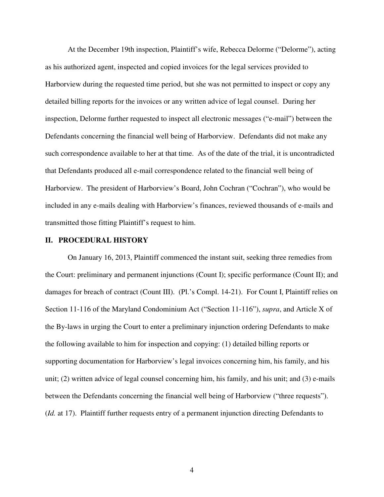At the December 19th inspection, Plaintiff's wife, Rebecca Delorme ("Delorme"), acting as his authorized agent, inspected and copied invoices for the legal services provided to Harborview during the requested time period, but she was not permitted to inspect or copy any detailed billing reports for the invoices or any written advice of legal counsel. During her inspection, Delorme further requested to inspect all electronic messages ("e-mail") between the Defendants concerning the financial well being of Harborview. Defendants did not make any such correspondence available to her at that time. As of the date of the trial, it is uncontradicted that Defendants produced all e-mail correspondence related to the financial well being of Harborview. The president of Harborview's Board, John Cochran ("Cochran"), who would be included in any e-mails dealing with Harborview's finances, reviewed thousands of e-mails and transmitted those fitting Plaintiff's request to him.

#### **II. PROCEDURAL HISTORY**

On January 16, 2013, Plaintiff commenced the instant suit, seeking three remedies from the Court: preliminary and permanent injunctions (Count I); specific performance (Count II); and damages for breach of contract (Count III). (Pl.'s Compl. 14-21). For Count I, Plaintiff relies on Section 11-116 of the Maryland Condominium Act ("Section 11-116"), *supra*, and Article X of the By-laws in urging the Court to enter a preliminary injunction ordering Defendants to make the following available to him for inspection and copying: (1) detailed billing reports or supporting documentation for Harborview's legal invoices concerning him, his family, and his unit; (2) written advice of legal counsel concerning him, his family, and his unit; and (3) e-mails between the Defendants concerning the financial well being of Harborview ("three requests"). (*Id.* at 17). Plaintiff further requests entry of a permanent injunction directing Defendants to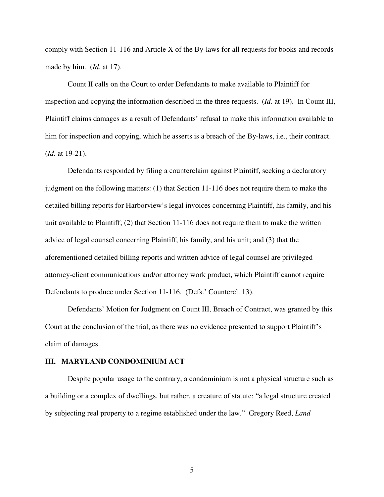comply with Section 11-116 and Article X of the By-laws for all requests for books and records made by him. (*Id.* at 17).

Count II calls on the Court to order Defendants to make available to Plaintiff for inspection and copying the information described in the three requests. (*Id.* at 19). In Count III, Plaintiff claims damages as a result of Defendants' refusal to make this information available to him for inspection and copying, which he asserts is a breach of the By-laws, i.e., their contract. (*Id.* at 19-21).

Defendants responded by filing a counterclaim against Plaintiff, seeking a declaratory judgment on the following matters: (1) that Section 11-116 does not require them to make the detailed billing reports for Harborview's legal invoices concerning Plaintiff, his family, and his unit available to Plaintiff; (2) that Section 11-116 does not require them to make the written advice of legal counsel concerning Plaintiff, his family, and his unit; and (3) that the aforementioned detailed billing reports and written advice of legal counsel are privileged attorney-client communications and/or attorney work product, which Plaintiff cannot require Defendants to produce under Section 11-116. (Defs.' Countercl. 13).

Defendants' Motion for Judgment on Count III, Breach of Contract, was granted by this Court at the conclusion of the trial, as there was no evidence presented to support Plaintiff's claim of damages.

### **III. MARYLAND CONDOMINIUM ACT**

Despite popular usage to the contrary, a condominium is not a physical structure such as a building or a complex of dwellings, but rather, a creature of statute: "a legal structure created by subjecting real property to a regime established under the law." Gregory Reed, *Land*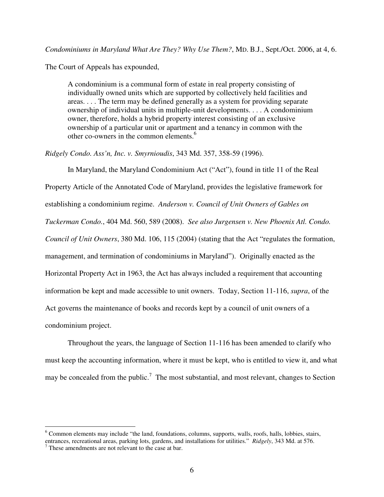*Condominiums in Maryland What Are They? Why Use Them?*, MD. B.J., Sept./Oct. 2006, at 4, 6.

The Court of Appeals has expounded,

A condominium is a communal form of estate in real property consisting of individually owned units which are supported by collectively held facilities and areas. . . . The term may be defined generally as a system for providing separate ownership of individual units in multiple-unit developments. . . . A condominium owner, therefore, holds a hybrid property interest consisting of an exclusive ownership of a particular unit or apartment and a tenancy in common with the other co-owners in the common elements.<sup>6</sup>

*Ridgely Condo. Ass'n, Inc. v. Smyrnioudis*, 343 Md. 357, 358-59 (1996).

In Maryland, the Maryland Condominium Act ("Act"), found in title 11 of the Real Property Article of the Annotated Code of Maryland, provides the legislative framework for establishing a condominium regime. *Anderson v. Council of Unit Owners of Gables on Tuckerman Condo.*, 404 Md. 560, 589 (2008). *See also Jurgensen v. New Phoenix Atl. Condo. Council of Unit Owners*, 380 Md. 106, 115 (2004) (stating that the Act "regulates the formation, management, and termination of condominiums in Maryland"). Originally enacted as the Horizontal Property Act in 1963, the Act has always included a requirement that accounting information be kept and made accessible to unit owners. Today, Section 11-116, *supra*, of the Act governs the maintenance of books and records kept by a council of unit owners of a condominium project.

Throughout the years, the language of Section 11-116 has been amended to clarify who must keep the accounting information, where it must be kept, who is entitled to view it, and what may be concealed from the public.<sup>7</sup> The most substantial, and most relevant, changes to Section

 6 Common elements may include "the land, foundations, columns, supports, walls, roofs, halls, lobbies, stairs, entrances, recreational areas, parking lots, gardens, and installations for utilities." *Ridgely*, 343 Md. at 576.

<sup>7</sup> These amendments are not relevant to the case at bar.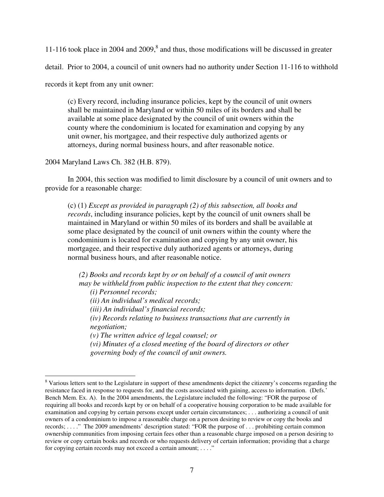11-116 took place in 2004 and 2009, $8$  and thus, those modifications will be discussed in greater

detail. Prior to 2004, a council of unit owners had no authority under Section 11-116 to withhold

records it kept from any unit owner:

(c) Every record, including insurance policies, kept by the council of unit owners shall be maintained in Maryland or within 50 miles of its borders and shall be available at some place designated by the council of unit owners within the county where the condominium is located for examination and copying by any unit owner, his mortgagee, and their respective duly authorized agents or attorneys, during normal business hours, and after reasonable notice.

2004 Maryland Laws Ch. 382 (H.B. 879).

 $\overline{a}$ 

 In 2004, this section was modified to limit disclosure by a council of unit owners and to provide for a reasonable charge:

(c) (1) *Except as provided in paragraph (2) of this subsection, all books and records*, including insurance policies, kept by the council of unit owners shall be maintained in Maryland or within 50 miles of its borders and shall be available at some place designated by the council of unit owners within the county where the condominium is located for examination and copying by any unit owner, his mortgagee, and their respective duly authorized agents or attorneys, during normal business hours, and after reasonable notice.

*(2) Books and records kept by or on behalf of a council of unit owners may be withheld from public inspection to the extent that they concern: (i) Personnel records; (ii) An individual's medical records; (iii) An individual's financial records; (iv) Records relating to business transactions that are currently in negotiation; (v) The written advice of legal counsel; or (vi) Minutes of a closed meeting of the board of directors or other governing body of the council of unit owners.* 

<sup>&</sup>lt;sup>8</sup> Various letters sent to the Legislature in support of these amendments depict the citizenry's concerns regarding the resistance faced in response to requests for, and the costs associated with gaining, access to information. (Defs.' Bench Mem. Ex. A). In the 2004 amendments, the Legislature included the following: "FOR the purpose of requiring all books and records kept by or on behalf of a cooperative housing corporation to be made available for examination and copying by certain persons except under certain circumstances; . . . authorizing a council of unit owners of a condominium to impose a reasonable charge on a person desiring to review or copy the books and records; . . . ." The 2009 amendments' description stated: "FOR the purpose of . . . prohibiting certain common ownership communities from imposing certain fees other than a reasonable charge imposed on a person desiring to review or copy certain books and records or who requests delivery of certain information; providing that a charge for copying certain records may not exceed a certain amount; ...."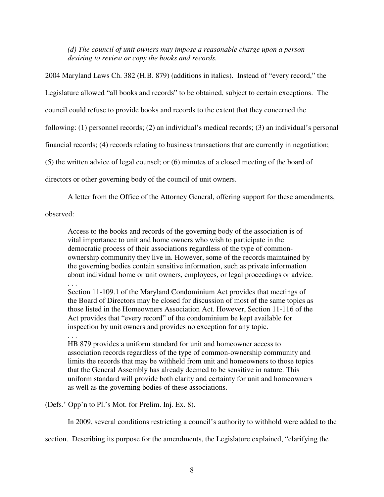*(d) The council of unit owners may impose a reasonable charge upon a person desiring to review or copy the books and records.* 

2004 Maryland Laws Ch. 382 (H.B. 879) (additions in italics). Instead of "every record," the Legislature allowed "all books and records" to be obtained, subject to certain exceptions. The council could refuse to provide books and records to the extent that they concerned the following: (1) personnel records; (2) an individual's medical records; (3) an individual's personal financial records; (4) records relating to business transactions that are currently in negotiation; (5) the written advice of legal counsel; or (6) minutes of a closed meeting of the board of directors or other governing body of the council of unit owners.

A letter from the Office of the Attorney General, offering support for these amendments,

observed:

Access to the books and records of the governing body of the association is of vital importance to unit and home owners who wish to participate in the democratic process of their associations regardless of the type of commonownership community they live in. However, some of the records maintained by the governing bodies contain sensitive information, such as private information about individual home or unit owners, employees, or legal proceedings or advice. . . .

Section 11-109.1 of the Maryland Condominium Act provides that meetings of the Board of Directors may be closed for discussion of most of the same topics as those listed in the Homeowners Association Act. However, Section 11-116 of the Act provides that "every record" of the condominium be kept available for inspection by unit owners and provides no exception for any topic.

. . .

HB 879 provides a uniform standard for unit and homeowner access to association records regardless of the type of common-ownership community and limits the records that may be withheld from unit and homeowners to those topics that the General Assembly has already deemed to be sensitive in nature. This uniform standard will provide both clarity and certainty for unit and homeowners as well as the governing bodies of these associations.

(Defs.' Opp'n to Pl.'s Mot. for Prelim. Inj. Ex. 8).

In 2009, several conditions restricting a council's authority to withhold were added to the

section. Describing its purpose for the amendments, the Legislature explained, "clarifying the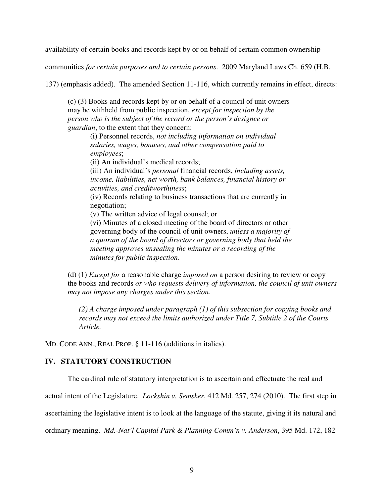availability of certain books and records kept by or on behalf of certain common ownership

communities *for certain purposes and to certain persons*. 2009 Maryland Laws Ch. 659 (H.B.

137) (emphasis added). The amended Section 11-116, which currently remains in effect, directs:

(c) (3) Books and records kept by or on behalf of a council of unit owners may be withheld from public inspection, *except for inspection by the person who is the subject of the record or the person's designee or guardian*, to the extent that they concern:

(i) Personnel records, *not including information on individual salaries, wages, bonuses, and other compensation paid to employees*;

(ii) An individual's medical records;

(iii) An individual's *personal* financial records, *including assets, income, liabilities, net worth, bank balances, financial history or activities, and creditworthiness*;

(iv) Records relating to business transactions that are currently in negotiation;

(v) The written advice of legal counsel; or

(vi) Minutes of a closed meeting of the board of directors or other governing body of the council of unit owners, *unless a majority of a quorum of the board of directors or governing body that held the meeting approves unsealing the minutes or a recording of the minutes for public inspection*.

(d) (1) *Except for* a reasonable charge *imposed on* a person desiring to review or copy the books and records *or who requests delivery of information, the council of unit owners may not impose any charges under this section.* 

*(2) A charge imposed under paragraph (1) of this subsection for copying books and records may not exceed the limits authorized under Title 7, Subtitle 2 of the Courts Article.* 

MD. CODE ANN., REAL PROP. § 11-116 (additions in italics).

# **IV. STATUTORY CONSTRUCTION**

The cardinal rule of statutory interpretation is to ascertain and effectuate the real and

actual intent of the Legislature. *Lockshin v. Semsker*, 412 Md. 257, 274 (2010). The first step in

ascertaining the legislative intent is to look at the language of the statute, giving it its natural and

ordinary meaning. *Md.-Nat'l Capital Park & Planning Comm'n v. Anderson*, 395 Md. 172, 182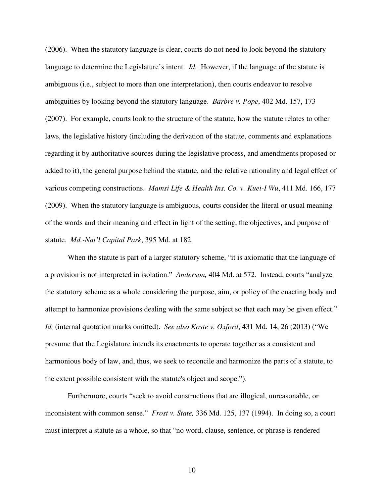(2006). When the statutory language is clear, courts do not need to look beyond the statutory language to determine the Legislature's intent. *Id.* However, if the language of the statute is ambiguous (i.e., subject to more than one interpretation), then courts endeavor to resolve ambiguities by looking beyond the statutory language. *Barbre v. Pope*, 402 Md. 157, 173 (2007). For example, courts look to the structure of the statute, how the statute relates to other laws, the legislative history (including the derivation of the statute, comments and explanations regarding it by authoritative sources during the legislative process, and amendments proposed or added to it), the general purpose behind the statute, and the relative rationality and legal effect of various competing constructions. *Mamsi Life & Health Ins. Co. v. Kuei-I Wu*, 411 Md. 166, 177 (2009). When the statutory language is ambiguous, courts consider the literal or usual meaning of the words and their meaning and effect in light of the setting, the objectives, and purpose of statute. *Md.-Nat'l Capital Park*, 395 Md. at 182.

When the statute is part of a larger statutory scheme, "it is axiomatic that the language of a provision is not interpreted in isolation." *Anderson,* 404 Md. at 572. Instead, courts "analyze the statutory scheme as a whole considering the purpose, aim, or policy of the enacting body and attempt to harmonize provisions dealing with the same subject so that each may be given effect." *Id.* (internal quotation marks omitted). *See also Koste v. Oxford*, 431 Md. 14, 26 (2013) ("We presume that the Legislature intends its enactments to operate together as a consistent and harmonious body of law, and, thus, we seek to reconcile and harmonize the parts of a statute, to the extent possible consistent with the statute's object and scope.").

Furthermore, courts "seek to avoid constructions that are illogical, unreasonable, or inconsistent with common sense." *Frost v. State,* 336 Md. 125, 137 (1994). In doing so, a court must interpret a statute as a whole, so that "no word, clause, sentence, or phrase is rendered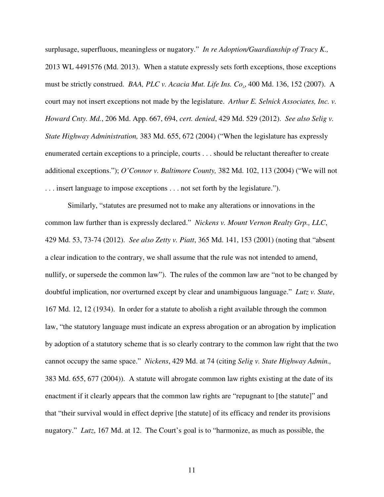surplusage, superfluous, meaningless or nugatory." *In re Adoption/Guardianship of Tracy K.,* 2013 WL 4491576 (Md. 2013). When a statute expressly sets forth exceptions, those exceptions must be strictly construed. *BAA, PLC v. Acacia Mut. Life Ins. Co*., 400 Md. 136, 152 (2007). A court may not insert exceptions not made by the legislature. *Arthur E. Selnick Associates, Inc. v. Howard Cnty. Md.*, 206 Md. App. 667, 694, *cert. denied*, 429 Md. 529 (2012). *See also Selig v. State Highway Administration,* 383 Md. 655, 672 (2004) ("When the legislature has expressly enumerated certain exceptions to a principle, courts . . . should be reluctant thereafter to create additional exceptions."); *O'Connor v. Baltimore County,* 382 Md. 102, 113 (2004) ("We will not . . . insert language to impose exceptions . . . not set forth by the legislature.").

Similarly, "statutes are presumed not to make any alterations or innovations in the common law further than is expressly declared." *Nickens v. Mount Vernon Realty Grp., LLC*, 429 Md. 53, 73-74 (2012). *See also Zetty v. Piatt*, 365 Md. 141, 153 (2001) (noting that "absent a clear indication to the contrary, we shall assume that the rule was not intended to amend, nullify, or supersede the common law"). The rules of the common law are "not to be changed by doubtful implication, nor overturned except by clear and unambiguous language." *Lutz v. State*, 167 Md. 12, 12 (1934). In order for a statute to abolish a right available through the common law, "the statutory language must indicate an express abrogation or an abrogation by implication by adoption of a statutory scheme that is so clearly contrary to the common law right that the two cannot occupy the same space." *Nickens*, 429 Md. at 74 (citing *Selig v. State Highway Admin.,* 383 Md. 655, 677 (2004)). A statute will abrogate common law rights existing at the date of its enactment if it clearly appears that the common law rights are "repugnant to [the statute]" and that "their survival would in effect deprive [the statute] of its efficacy and render its provisions nugatory." *Lutz*, 167 Md. at 12. The Court's goal is to "harmonize, as much as possible, the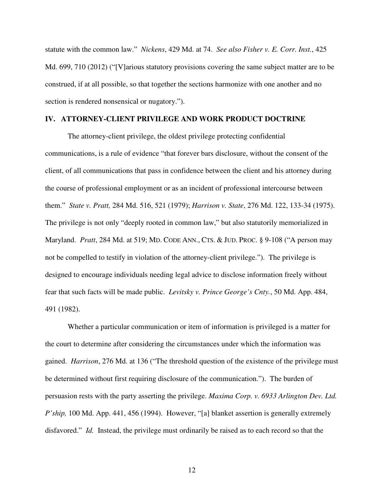statute with the common law." *Nickens*, 429 Md. at 74. *See also Fisher v. E. Corr. Inst.*, 425 Md. 699, 710 (2012) ("[V]arious statutory provisions covering the same subject matter are to be construed, if at all possible, so that together the sections harmonize with one another and no section is rendered nonsensical or nugatory.").

### **IV. ATTORNEY-CLIENT PRIVILEGE AND WORK PRODUCT DOCTRINE**

The attorney-client privilege, the oldest privilege protecting confidential communications, is a rule of evidence "that forever bars disclosure, without the consent of the client, of all communications that pass in confidence between the client and his attorney during the course of professional employment or as an incident of professional intercourse between them." *State v. Pratt,* 284 Md. 516, 521 (1979); *Harrison v. State*, 276 Md. 122, 133-34 (1975). The privilege is not only "deeply rooted in common law," but also statutorily memorialized in Maryland. *Pratt*, 284 Md. at 519; MD. CODE ANN., CTS. & JUD. PROC. § 9-108 ("A person may not be compelled to testify in violation of the attorney-client privilege."). The privilege is designed to encourage individuals needing legal advice to disclose information freely without fear that such facts will be made public. *Levitsky v. Prince George's Cnty.*, 50 Md. App. 484, 491 (1982).

Whether a particular communication or item of information is privileged is a matter for the court to determine after considering the circumstances under which the information was gained. *Harrison*, 276 Md. at 136 ("The threshold question of the existence of the privilege must be determined without first requiring disclosure of the communication."). The burden of persuasion rests with the party asserting the privilege. *Maxima Corp. v. 6933 Arlington Dev. Ltd. P'ship,* 100 Md. App. 441, 456 (1994). However, "[a] blanket assertion is generally extremely disfavored." *Id.* Instead, the privilege must ordinarily be raised as to each record so that the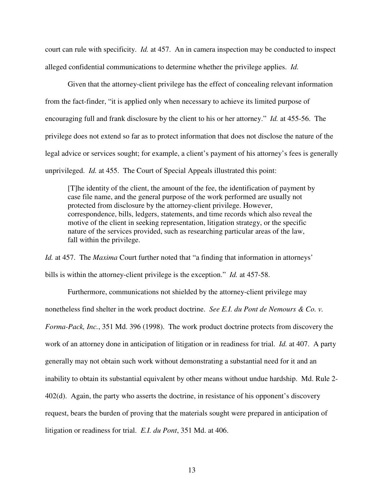court can rule with specificity. *Id.* at 457.An in camera inspection may be conducted to inspect alleged confidential communications to determine whether the privilege applies. *Id.*

Given that the attorney-client privilege has the effect of concealing relevant information from the fact-finder, "it is applied only when necessary to achieve its limited purpose of encouraging full and frank disclosure by the client to his or her attorney." *Id.* at 455-56. The privilege does not extend so far as to protect information that does not disclose the nature of the legal advice or services sought; for example, a client's payment of his attorney's fees is generally unprivileged. *Id.* at 455. The Court of Special Appeals illustrated this point:

[T]he identity of the client, the amount of the fee, the identification of payment by case file name, and the general purpose of the work performed are usually not protected from disclosure by the attorney-client privilege. However, correspondence, bills, ledgers, statements, and time records which also reveal the motive of the client in seeking representation, litigation strategy, or the specific nature of the services provided, such as researching particular areas of the law, fall within the privilege.

*Id.* at 457. The *Maxima* Court further noted that "a finding that information in attorneys' bills is within the attorney-client privilege is the exception." *Id.* at 457-58.

 Furthermore, communications not shielded by the attorney-client privilege may nonetheless find shelter in the work product doctrine. *See E.I. du Pont de Nemours & Co. v. Forma-Pack, Inc.*, 351 Md. 396 (1998). The work product doctrine protects from discovery the work of an attorney done in anticipation of litigation or in readiness for trial. *Id.* at 407. A party generally may not obtain such work without demonstrating a substantial need for it and an inability to obtain its substantial equivalent by other means without undue hardship. Md. Rule 2- 402(d). Again, the party who asserts the doctrine, in resistance of his opponent's discovery request, bears the burden of proving that the materials sought were prepared in anticipation of litigation or readiness for trial. *E.I. du Pont*, 351 Md. at 406.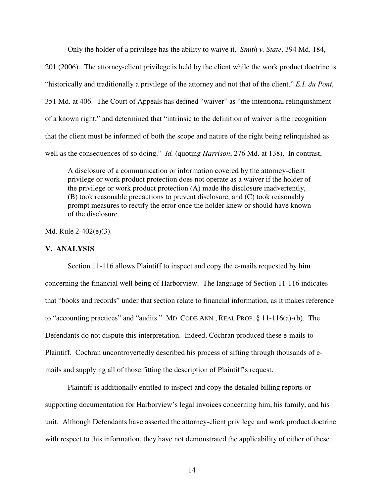Only the holder of a privilege has the ability to waive it. *Smith v. State*, 394 Md. 184, 201 (2006). The attorney-client privilege is held by the client while the work product doctrine is "historically and traditionally a privilege of the attorney and not that of the client." *E.I. du Pont*, 351 Md. at 406. The Court of Appeals has defined "waiver" as "the intentional relinquishment of a known right," and determined that "intrinsic to the definition of waiver is the recognition that the client must be informed of both the scope and nature of the right being relinquished as well as the consequences of so doing." *Id.* (quoting *Harrison*, 276 Md. at 138). In contrast,

A disclosure of a communication or information covered by the attorney-client privilege or work product protection does not operate as a waiver if the holder of the privilege or work product protection (A) made the disclosure inadvertently, (B) took reasonable precautions to prevent disclosure, and (C) took reasonably prompt measures to rectify the error once the holder knew or should have known of the disclosure.

Md. Rule 2-402(e)(3).

## **V. ANALYSIS**

Section 11-116 allows Plaintiff to inspect and copy the e-mails requested by him concerning the financial well being of Harborview. The language of Section 11-116 indicates that "books and records" under that section relate to financial information, as it makes reference to "accounting practices" and "audits." MD. CODE ANN., REAL PROP. § 11-116(a)-(b). The Defendants do not dispute this interpretation. Indeed, Cochran produced these e-mails to Plaintiff. Cochran uncontrovertedly described his process of sifting through thousands of emails and supplying all of those fitting the description of Plaintiff's request.

Plaintiff is additionally entitled to inspect and copy the detailed billing reports or supporting documentation for Harborview's legal invoices concerning him, his family, and his unit. Although Defendants have asserted the attorney-client privilege and work product doctrine with respect to this information, they have not demonstrated the applicability of either of these.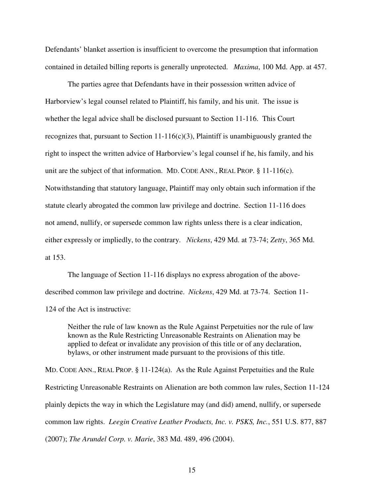Defendants' blanket assertion is insufficient to overcome the presumption that information contained in detailed billing reports is generally unprotected. *Maxima*, 100 Md. App. at 457.

The parties agree that Defendants have in their possession written advice of Harborview's legal counsel related to Plaintiff, his family, and his unit. The issue is whether the legal advice shall be disclosed pursuant to Section 11-116. This Court recognizes that, pursuant to Section  $11-116(c)(3)$ , Plaintiff is unambiguously granted the right to inspect the written advice of Harborview's legal counsel if he, his family, and his unit are the subject of that information. MD. CODE ANN., REAL PROP. § 11-116(c). Notwithstanding that statutory language, Plaintiff may only obtain such information if the statute clearly abrogated the common law privilege and doctrine. Section 11-116 does not amend, nullify, or supersede common law rights unless there is a clear indication, either expressly or impliedly, to the contrary. *Nickens*, 429 Md. at 73-74; *Zetty*, 365 Md. at 153.

The language of Section 11-116 displays no express abrogation of the abovedescribed common law privilege and doctrine. *Nickens*, 429 Md. at 73-74. Section 11- 124 of the Act is instructive:

Neither the rule of law known as the Rule Against Perpetuities nor the rule of law known as the Rule Restricting Unreasonable Restraints on Alienation may be applied to defeat or invalidate any provision of this title or of any declaration, bylaws, or other instrument made pursuant to the provisions of this title.

MD. CODE ANN., REAL PROP. § 11-124(a). As the Rule Against Perpetuities and the Rule Restricting Unreasonable Restraints on Alienation are both common law rules, Section 11-124 plainly depicts the way in which the Legislature may (and did) amend, nullify, or supersede common law rights. *Leegin Creative Leather Products, Inc. v. PSKS, Inc.*, 551 U.S. 877, 887 (2007); *The Arundel Corp. v. Marie*, 383 Md. 489, 496 (2004).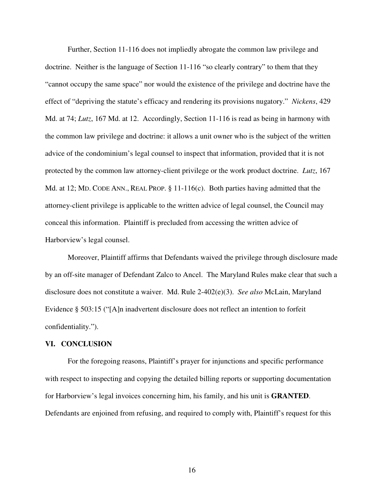Further, Section 11-116 does not impliedly abrogate the common law privilege and doctrine. Neither is the language of Section 11-116 "so clearly contrary" to them that they "cannot occupy the same space" nor would the existence of the privilege and doctrine have the effect of "depriving the statute's efficacy and rendering its provisions nugatory." *Nickens*, 429 Md. at 74; *Lutz*, 167 Md. at 12. Accordingly, Section 11-116 is read as being in harmony with the common law privilege and doctrine: it allows a unit owner who is the subject of the written advice of the condominium's legal counsel to inspect that information, provided that it is not protected by the common law attorney-client privilege or the work product doctrine. *Lutz*, 167 Md. at 12; MD. CODE ANN., REAL PROP. § 11-116(c). Both parties having admitted that the attorney-client privilege is applicable to the written advice of legal counsel, the Council may conceal this information. Plaintiff is precluded from accessing the written advice of Harborview's legal counsel.

Moreover, Plaintiff affirms that Defendants waived the privilege through disclosure made by an off-site manager of Defendant Zalco to Ancel. The Maryland Rules make clear that such a disclosure does not constitute a waiver. Md. Rule 2-402(e)(3). *See also* McLain, Maryland Evidence § 503:15 ("[A]n inadvertent disclosure does not reflect an intention to forfeit confidentiality.").

### **VI. CONCLUSION**

For the foregoing reasons, Plaintiff's prayer for injunctions and specific performance with respect to inspecting and copying the detailed billing reports or supporting documentation for Harborview's legal invoices concerning him, his family, and his unit is **GRANTED**. Defendants are enjoined from refusing, and required to comply with, Plaintiff's request for this